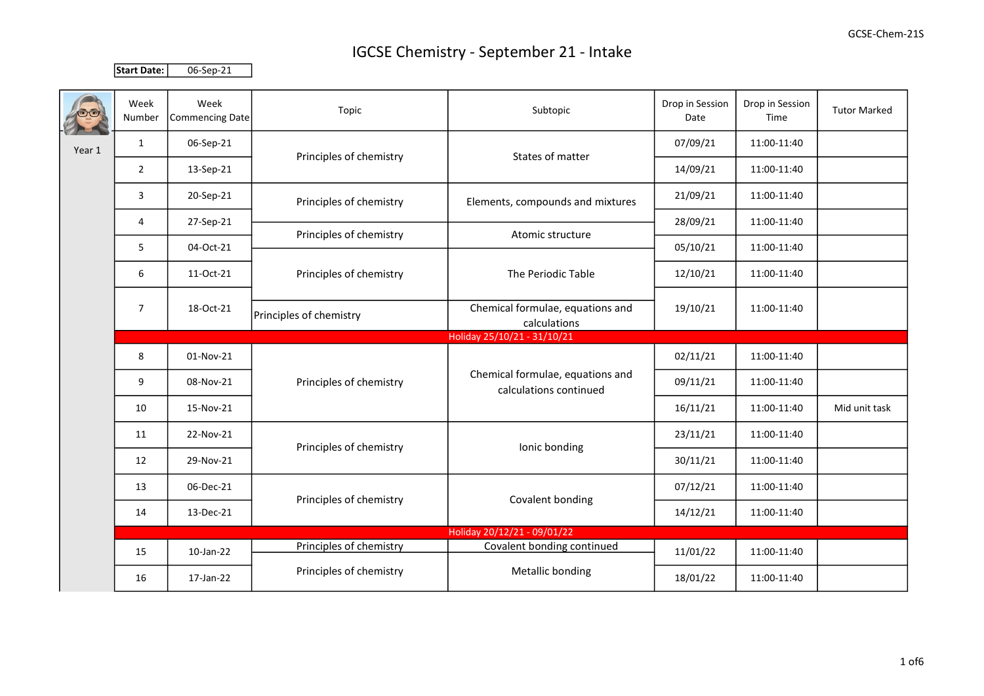Start Date: 06-Sep-21

|        | Week<br>Number              | Week<br>Commencing Date | Topic                   | Subtopic                                                   | Drop in Session<br>Date | Drop in Session<br>Time | <b>Tutor Marked</b> |  |  |
|--------|-----------------------------|-------------------------|-------------------------|------------------------------------------------------------|-------------------------|-------------------------|---------------------|--|--|
| Year 1 | $\mathbf{1}$                | 06-Sep-21               | Principles of chemistry | States of matter                                           | 07/09/21                | 11:00-11:40             |                     |  |  |
|        | $\overline{2}$              | 13-Sep-21               |                         |                                                            | 14/09/21                | 11:00-11:40             |                     |  |  |
|        | 3                           | 20-Sep-21               | Principles of chemistry | Elements, compounds and mixtures                           | 21/09/21                | 11:00-11:40             |                     |  |  |
|        | 4                           | 27-Sep-21               | Principles of chemistry | Atomic structure                                           | 28/09/21                | 11:00-11:40             |                     |  |  |
|        | 5                           | 04-Oct-21               |                         |                                                            | 05/10/21                | 11:00-11:40             |                     |  |  |
|        | 6                           | 11-Oct-21               | Principles of chemistry | The Periodic Table                                         | 12/10/21                | 11:00-11:40             |                     |  |  |
|        | $\overline{7}$              | 18-Oct-21               | Principles of chemistry | Chemical formulae, equations and<br>calculations           | 19/10/21                | 11:00-11:40             |                     |  |  |
|        | Holiday 25/10/21 - 31/10/21 |                         |                         |                                                            |                         |                         |                     |  |  |
|        | 8                           | 01-Nov-21               | Principles of chemistry | Chemical formulae, equations and<br>calculations continued | 02/11/21                | 11:00-11:40             |                     |  |  |
|        | 9                           | 08-Nov-21               |                         |                                                            | 09/11/21                | 11:00-11:40             |                     |  |  |
|        | 10                          | 15-Nov-21               |                         |                                                            | 16/11/21                | 11:00-11:40             | Mid unit task       |  |  |
|        | 11                          | 22-Nov-21               | Principles of chemistry | Ionic bonding                                              | 23/11/21                | 11:00-11:40             |                     |  |  |
|        | 12                          | 29-Nov-21               |                         |                                                            | 30/11/21                | 11:00-11:40             |                     |  |  |
|        | 13                          | 06-Dec-21               | Principles of chemistry | Covalent bonding                                           | 07/12/21                | 11:00-11:40             |                     |  |  |
|        | 14                          | 13-Dec-21               |                         |                                                            | 14/12/21                | 11:00-11:40             |                     |  |  |
|        |                             |                         |                         | Holiday 20/12/21 - 09/01/22                                |                         |                         |                     |  |  |
|        | 15                          | 10-Jan-22               | Principles of chemistry | Covalent bonding continued                                 | 11/01/22                | 11:00-11:40             |                     |  |  |
|        | 16                          | 17-Jan-22               | Principles of chemistry | Metallic bonding                                           | 18/01/22                | 11:00-11:40             |                     |  |  |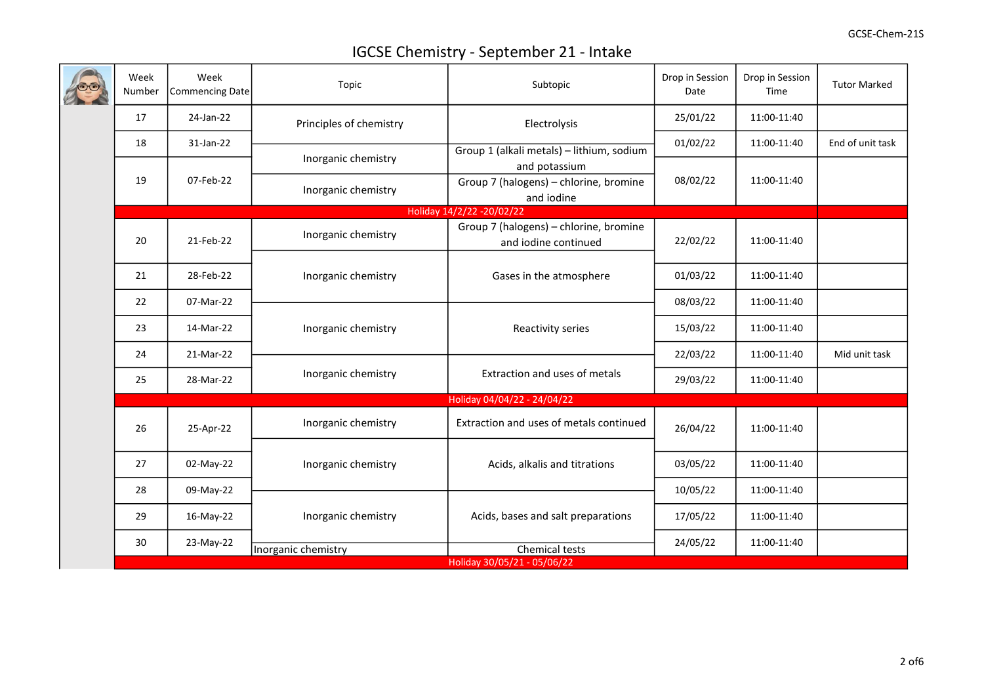|  | Week<br>Number              | Week<br>Commencing Date | Topic                                      | Subtopic                                                       | Drop in Session<br>Date | Drop in Session<br>Time | <b>Tutor Marked</b> |  |  |  |
|--|-----------------------------|-------------------------|--------------------------------------------|----------------------------------------------------------------|-------------------------|-------------------------|---------------------|--|--|--|
|  | 17                          | 24-Jan-22               | Principles of chemistry                    | Electrolysis                                                   | 25/01/22                | 11:00-11:40             |                     |  |  |  |
|  | 18                          | 31-Jan-22               |                                            | Group 1 (alkali metals) - lithium, sodium                      | 01/02/22                | 11:00-11:40             | End of unit task    |  |  |  |
|  |                             |                         | Inorganic chemistry                        | and potassium                                                  |                         |                         |                     |  |  |  |
|  | 19                          | 07-Feb-22               | Inorganic chemistry                        | Group 7 (halogens) - chlorine, bromine<br>and iodine           | 08/02/22                | 11:00-11:40             |                     |  |  |  |
|  |                             |                         |                                            | Holiday 14/2/22 - 20/02/22                                     |                         |                         |                     |  |  |  |
|  | 20                          | 21-Feb-22               | Inorganic chemistry                        | Group 7 (halogens) - chlorine, bromine<br>and iodine continued | 22/02/22                | 11:00-11:40             |                     |  |  |  |
|  | 21                          | 28-Feb-22               | Inorganic chemistry                        | Gases in the atmosphere                                        | 01/03/22                | 11:00-11:40             |                     |  |  |  |
|  | 22                          | 07-Mar-22               |                                            |                                                                | 08/03/22                | 11:00-11:40             |                     |  |  |  |
|  | 23                          | 14-Mar-22               | Inorganic chemistry<br>Inorganic chemistry | Reactivity series                                              | 15/03/22                | 11:00-11:40             |                     |  |  |  |
|  | 24                          | 21-Mar-22               |                                            |                                                                | 22/03/22                | 11:00-11:40             | Mid unit task       |  |  |  |
|  | 25                          | 28-Mar-22               |                                            | Extraction and uses of metals                                  | 29/03/22                | 11:00-11:40             |                     |  |  |  |
|  | Holiday 04/04/22 - 24/04/22 |                         |                                            |                                                                |                         |                         |                     |  |  |  |
|  | 26                          | 25-Apr-22               | Inorganic chemistry                        | Extraction and uses of metals continued                        | 26/04/22                | 11:00-11:40             |                     |  |  |  |
|  | 27                          | 02-May-22               | Inorganic chemistry                        | Acids, alkalis and titrations                                  | 03/05/22                | 11:00-11:40             |                     |  |  |  |
|  | 28                          | 09-May-22               | Inorganic chemistry                        |                                                                | 10/05/22                | 11:00-11:40             |                     |  |  |  |
|  | 29                          | 16-May-22               |                                            | Acids, bases and salt preparations                             | 17/05/22                | 11:00-11:40             |                     |  |  |  |
|  | 30                          | 23-May-22               | Inorganic chemistry                        | Chemical tests                                                 | 24/05/22                | 11:00-11:40             |                     |  |  |  |
|  |                             |                         |                                            | Holiday 30/05/21 - 05/06/22                                    |                         |                         |                     |  |  |  |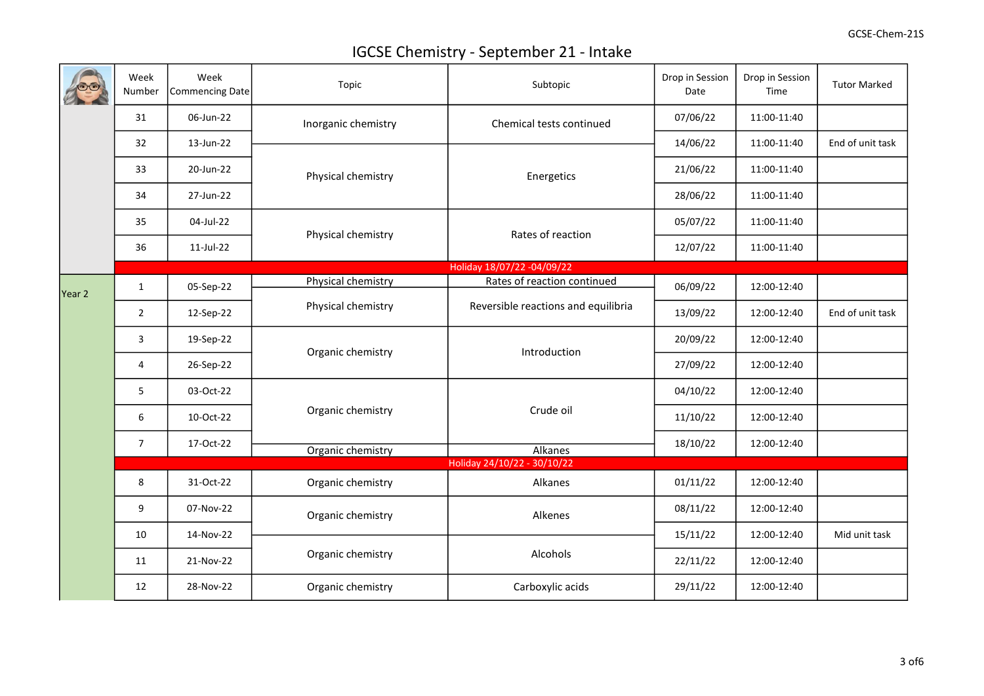|        | Week<br>Number   | Week<br><b>Commencing Date</b> | Topic               | Subtopic                            | Drop in Session<br>Date | Drop in Session<br>Time | <b>Tutor Marked</b> |
|--------|------------------|--------------------------------|---------------------|-------------------------------------|-------------------------|-------------------------|---------------------|
|        | 31               | 06-Jun-22                      | Inorganic chemistry | Chemical tests continued            | 07/06/22                | 11:00-11:40             |                     |
|        | 32               | 13-Jun-22                      |                     |                                     | 14/06/22                | 11:00-11:40             | End of unit task    |
|        | 33               | 20-Jun-22                      | Physical chemistry  | Energetics                          | 21/06/22                | 11:00-11:40             |                     |
|        | 34               | 27-Jun-22                      |                     |                                     | 28/06/22                | 11:00-11:40             |                     |
|        | 35               | 04-Jul-22                      | Physical chemistry  | Rates of reaction                   | 05/07/22                | 11:00-11:40             |                     |
|        | 36               | 11-Jul-22                      |                     |                                     | 12/07/22                | 11:00-11:40             |                     |
|        |                  |                                |                     | Holiday 18/07/22 -04/09/22          |                         |                         |                     |
| Year 2 | $\mathbf{1}$     | 05-Sep-22                      | Physical chemistry  | Rates of reaction continued         | 06/09/22                | 12:00-12:40             |                     |
|        | $\overline{2}$   | 12-Sep-22                      | Physical chemistry  | Reversible reactions and equilibria | 13/09/22                | 12:00-12:40             | End of unit task    |
|        | 3                | 19-Sep-22                      | Organic chemistry   | Introduction                        | 20/09/22                | 12:00-12:40             |                     |
|        | 4                | 26-Sep-22                      |                     |                                     | 27/09/22                | 12:00-12:40             |                     |
|        | 5                | 03-Oct-22                      | Organic chemistry   | Crude oil                           | 04/10/22                | 12:00-12:40             |                     |
|        | $\boldsymbol{6}$ | 10-Oct-22                      |                     |                                     | 11/10/22                | 12:00-12:40             |                     |
|        | $\overline{7}$   | 17-Oct-22                      | Organic chemistry   | Alkanes                             | 18/10/22                | 12:00-12:40             |                     |
|        |                  |                                |                     | Holiday 24/10/22 - 30/10/22         |                         |                         |                     |
|        | $\,$ 8 $\,$      | 31-Oct-22                      | Organic chemistry   | Alkanes                             | 01/11/22                | 12:00-12:40             |                     |
|        | $\boldsymbol{9}$ | 07-Nov-22                      | Organic chemistry   | Alkenes                             | 08/11/22                | 12:00-12:40             |                     |
|        | 10               | 14-Nov-22                      |                     | Alcohols                            | 15/11/22                | 12:00-12:40             | Mid unit task       |
|        | 11               | 21-Nov-22                      | Organic chemistry   |                                     | 22/11/22                | 12:00-12:40             |                     |
|        | 12               | 28-Nov-22                      | Organic chemistry   | Carboxylic acids                    | 29/11/22                | 12:00-12:40             |                     |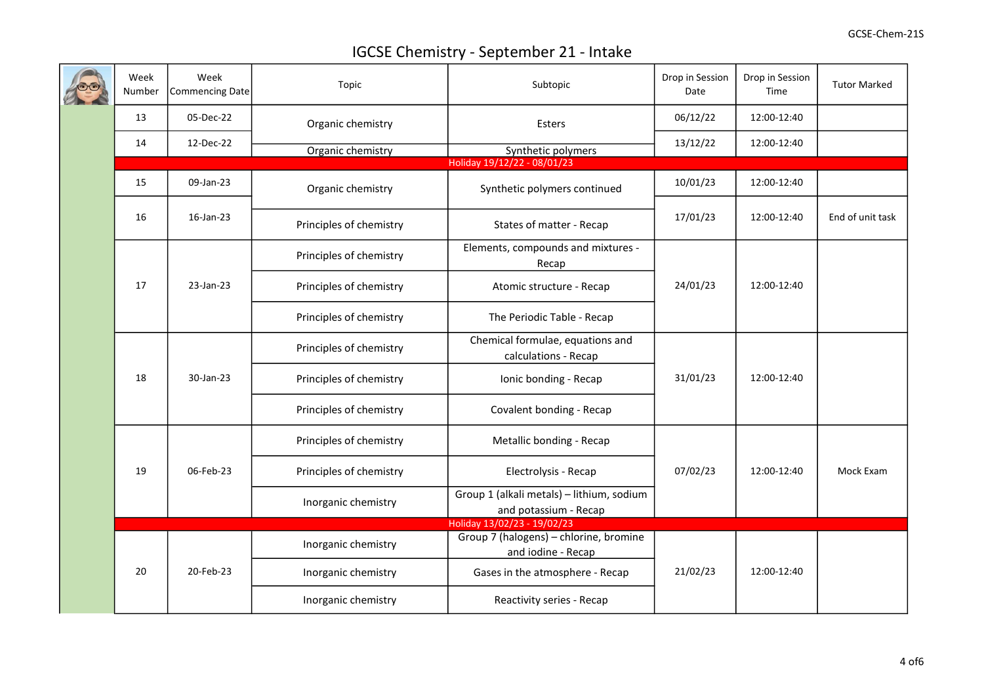|  | Week<br>Number              | Week<br>Commencing Date | Topic                   | Subtopic                                                           | Drop in Session<br>Date | Drop in Session<br>Time | <b>Tutor Marked</b> |  |  |  |
|--|-----------------------------|-------------------------|-------------------------|--------------------------------------------------------------------|-------------------------|-------------------------|---------------------|--|--|--|
|  | 13                          | 05-Dec-22               | Organic chemistry       | Esters                                                             | 06/12/22                | 12:00-12:40             |                     |  |  |  |
|  | 14                          | 12-Dec-22               | Organic chemistry       | Synthetic polymers                                                 | 13/12/22                | 12:00-12:40             |                     |  |  |  |
|  | Holiday 19/12/22 - 08/01/23 |                         |                         |                                                                    |                         |                         |                     |  |  |  |
|  | 15                          | 09-Jan-23               | Organic chemistry       | Synthetic polymers continued                                       | 10/01/23                | 12:00-12:40             |                     |  |  |  |
|  | 16                          | 16-Jan-23               | Principles of chemistry | States of matter - Recap                                           | 17/01/23                | 12:00-12:40             | End of unit task    |  |  |  |
|  |                             |                         | Principles of chemistry | Elements, compounds and mixtures -<br>Recap                        |                         | 12:00-12:40             |                     |  |  |  |
|  | 17                          | 23-Jan-23               | Principles of chemistry | Atomic structure - Recap                                           | 24/01/23                |                         |                     |  |  |  |
|  |                             |                         | Principles of chemistry | The Periodic Table - Recap                                         |                         |                         |                     |  |  |  |
|  |                             |                         | Principles of chemistry | Chemical formulae, equations and<br>calculations - Recap           | 31/01/23                |                         |                     |  |  |  |
|  | 18                          | 30-Jan-23               | Principles of chemistry | Ionic bonding - Recap                                              |                         | 12:00-12:40             |                     |  |  |  |
|  |                             |                         | Principles of chemistry | Covalent bonding - Recap                                           |                         |                         |                     |  |  |  |
|  |                             |                         | Principles of chemistry | Metallic bonding - Recap                                           |                         |                         |                     |  |  |  |
|  | 19<br>06-Feb-23             | Principles of chemistry | Electrolysis - Recap    | 07/02/23                                                           | 12:00-12:40             | Mock Exam               |                     |  |  |  |
|  |                             |                         | Inorganic chemistry     | Group 1 (alkali metals) - lithium, sodium<br>and potassium - Recap |                         |                         |                     |  |  |  |
|  |                             |                         |                         | Holiday 13/02/23 - 19/02/23                                        |                         |                         |                     |  |  |  |
|  |                             |                         | Inorganic chemistry     | Group 7 (halogens) - chlorine, bromine<br>and iodine - Recap       |                         |                         |                     |  |  |  |
|  | 20                          | 20-Feb-23               | Inorganic chemistry     | Gases in the atmosphere - Recap                                    | 21/02/23                | 12:00-12:40             |                     |  |  |  |
|  |                             |                         | Inorganic chemistry     | Reactivity series - Recap                                          |                         |                         |                     |  |  |  |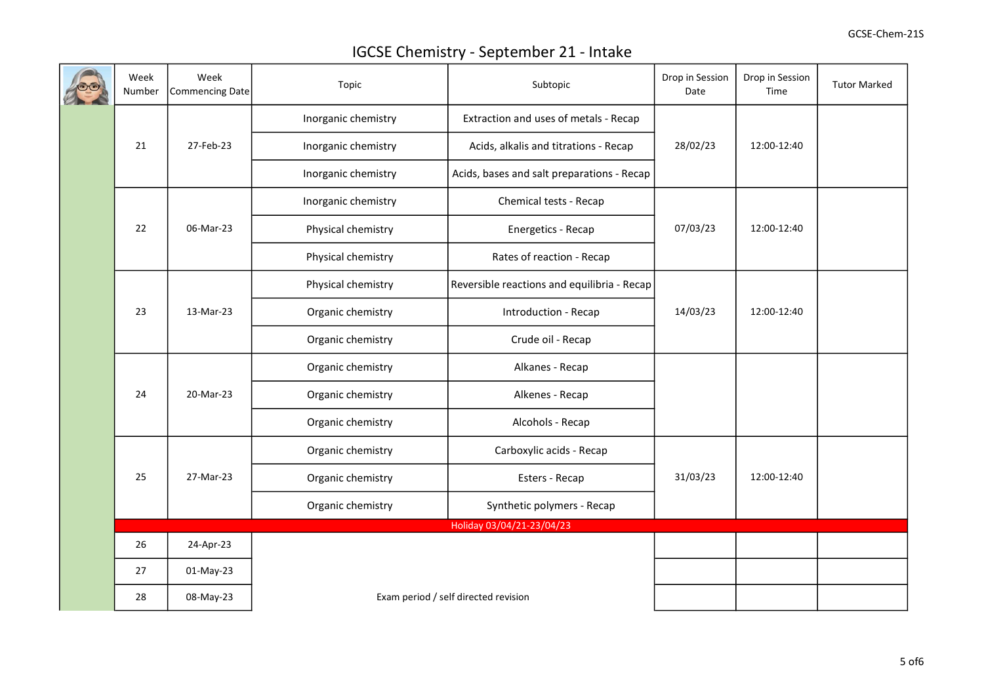|  | Week<br>Number  | Week<br>Commencing Date | Topic                                | Subtopic                                    | Drop in Session<br>Date | Drop in Session<br>Time | <b>Tutor Marked</b> |
|--|-----------------|-------------------------|--------------------------------------|---------------------------------------------|-------------------------|-------------------------|---------------------|
|  |                 |                         | Inorganic chemistry                  | Extraction and uses of metals - Recap       |                         |                         |                     |
|  | 21              | 27-Feb-23               | Inorganic chemistry                  | Acids, alkalis and titrations - Recap       | 28/02/23                | 12:00-12:40             |                     |
|  |                 |                         | Inorganic chemistry                  | Acids, bases and salt preparations - Recap  |                         |                         |                     |
|  |                 |                         | Inorganic chemistry                  | Chemical tests - Recap                      |                         | 12:00-12:40             |                     |
|  | 22              | 06-Mar-23               | Physical chemistry                   | Energetics - Recap                          | 07/03/23                |                         |                     |
|  |                 |                         | Physical chemistry                   | Rates of reaction - Recap                   |                         |                         |                     |
|  |                 |                         | Physical chemistry                   | Reversible reactions and equilibria - Recap |                         |                         |                     |
|  | 23<br>13-Mar-23 | Organic chemistry       | Introduction - Recap                 | 14/03/23                                    | 12:00-12:40             |                         |                     |
|  |                 |                         | Organic chemistry                    | Crude oil - Recap                           |                         |                         |                     |
|  |                 | 20-Mar-23               | Organic chemistry                    | Alkanes - Recap                             |                         |                         |                     |
|  | 24              |                         | Organic chemistry                    | Alkenes - Recap                             |                         |                         |                     |
|  |                 |                         | Organic chemistry                    | Alcohols - Recap                            |                         |                         |                     |
|  |                 |                         | Organic chemistry                    | Carboxylic acids - Recap                    |                         | 12:00-12:40             |                     |
|  | 25              | 27-Mar-23               | Organic chemistry                    | Esters - Recap                              | 31/03/23                |                         |                     |
|  |                 |                         | Organic chemistry                    | Synthetic polymers - Recap                  |                         |                         |                     |
|  |                 |                         |                                      | Holiday 03/04/21-23/04/23                   |                         |                         |                     |
|  | 26              | 24-Apr-23               |                                      |                                             |                         |                         |                     |
|  | 27              | 01-May-23               |                                      |                                             |                         |                         |                     |
|  | 28              | 08-May-23               | Exam period / self directed revision |                                             |                         |                         |                     |